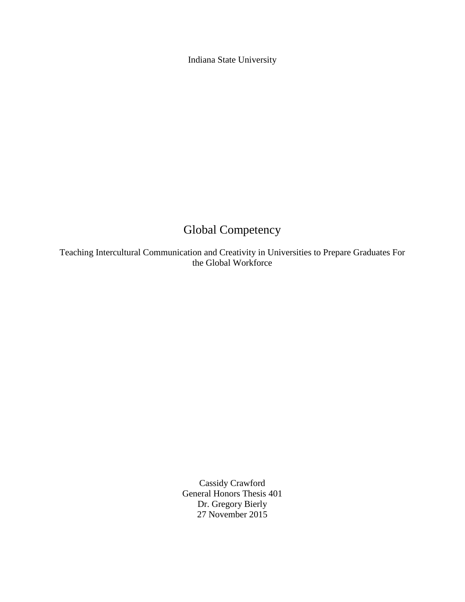Indiana State University

# Global Competency

Teaching Intercultural Communication and Creativity in Universities to Prepare Graduates For the Global Workforce

> Cassidy Crawford General Honors Thesis 401 Dr. Gregory Bierly 27 November 2015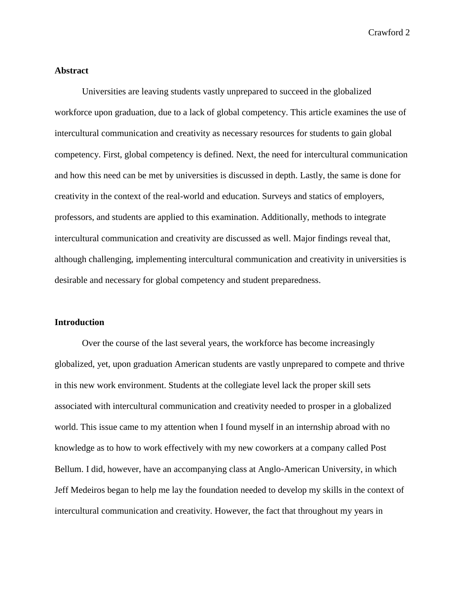## **Abstract**

Universities are leaving students vastly unprepared to succeed in the globalized workforce upon graduation, due to a lack of global competency. This article examines the use of intercultural communication and creativity as necessary resources for students to gain global competency. First, global competency is defined. Next, the need for intercultural communication and how this need can be met by universities is discussed in depth. Lastly, the same is done for creativity in the context of the real-world and education. Surveys and statics of employers, professors, and students are applied to this examination. Additionally, methods to integrate intercultural communication and creativity are discussed as well. Major findings reveal that, although challenging, implementing intercultural communication and creativity in universities is desirable and necessary for global competency and student preparedness.

#### **Introduction**

Over the course of the last several years, the workforce has become increasingly globalized, yet, upon graduation American students are vastly unprepared to compete and thrive in this new work environment. Students at the collegiate level lack the proper skill sets associated with intercultural communication and creativity needed to prosper in a globalized world. This issue came to my attention when I found myself in an internship abroad with no knowledge as to how to work effectively with my new coworkers at a company called Post Bellum. I did, however, have an accompanying class at Anglo-American University, in which Jeff Medeiros began to help me lay the foundation needed to develop my skills in the context of intercultural communication and creativity. However, the fact that throughout my years in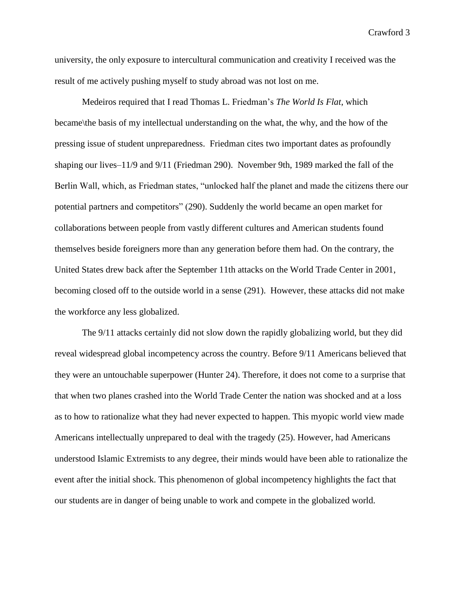university, the only exposure to intercultural communication and creativity I received was the result of me actively pushing myself to study abroad was not lost on me.

Medeiros required that I read Thomas L. Friedman's *The World Is Flat*, which became\the basis of my intellectual understanding on the what, the why, and the how of the pressing issue of student unpreparedness. Friedman cites two important dates as profoundly shaping our lives–11/9 and 9/11 (Friedman 290). November 9th, 1989 marked the fall of the Berlin Wall, which, as Friedman states, "unlocked half the planet and made the citizens there our potential partners and competitors" (290). Suddenly the world became an open market for collaborations between people from vastly different cultures and American students found themselves beside foreigners more than any generation before them had. On the contrary, the United States drew back after the September 11th attacks on the World Trade Center in 2001, becoming closed off to the outside world in a sense (291). However, these attacks did not make the workforce any less globalized.

The 9/11 attacks certainly did not slow down the rapidly globalizing world, but they did reveal widespread global incompetency across the country. Before 9/11 Americans believed that they were an untouchable superpower (Hunter 24). Therefore, it does not come to a surprise that that when two planes crashed into the World Trade Center the nation was shocked and at a loss as to how to rationalize what they had never expected to happen. This myopic world view made Americans intellectually unprepared to deal with the tragedy (25). However, had Americans understood Islamic Extremists to any degree, their minds would have been able to rationalize the event after the initial shock. This phenomenon of global incompetency highlights the fact that our students are in danger of being unable to work and compete in the globalized world.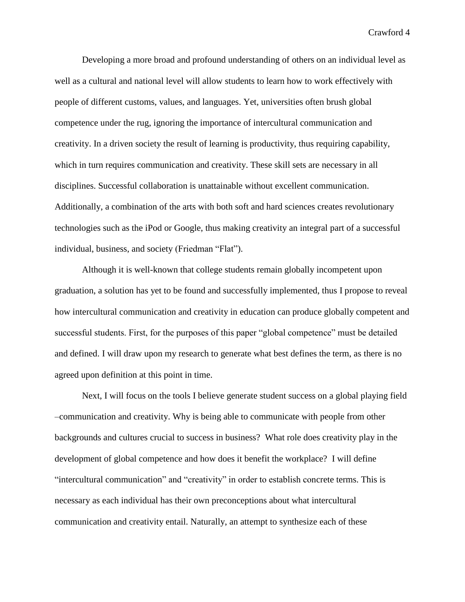Developing a more broad and profound understanding of others on an individual level as well as a cultural and national level will allow students to learn how to work effectively with people of different customs, values, and languages. Yet, universities often brush global competence under the rug, ignoring the importance of intercultural communication and creativity. In a driven society the result of learning is productivity, thus requiring capability, which in turn requires communication and creativity. These skill sets are necessary in all disciplines. Successful collaboration is unattainable without excellent communication. Additionally, a combination of the arts with both soft and hard sciences creates revolutionary technologies such as the iPod or Google, thus making creativity an integral part of a successful individual, business, and society (Friedman "Flat").

Although it is well-known that college students remain globally incompetent upon graduation, a solution has yet to be found and successfully implemented, thus I propose to reveal how intercultural communication and creativity in education can produce globally competent and successful students. First, for the purposes of this paper "global competence" must be detailed and defined. I will draw upon my research to generate what best defines the term, as there is no agreed upon definition at this point in time.

Next, I will focus on the tools I believe generate student success on a global playing field –communication and creativity. Why is being able to communicate with people from other backgrounds and cultures crucial to success in business? What role does creativity play in the development of global competence and how does it benefit the workplace? I will define "intercultural communication" and "creativity" in order to establish concrete terms. This is necessary as each individual has their own preconceptions about what intercultural communication and creativity entail. Naturally, an attempt to synthesize each of these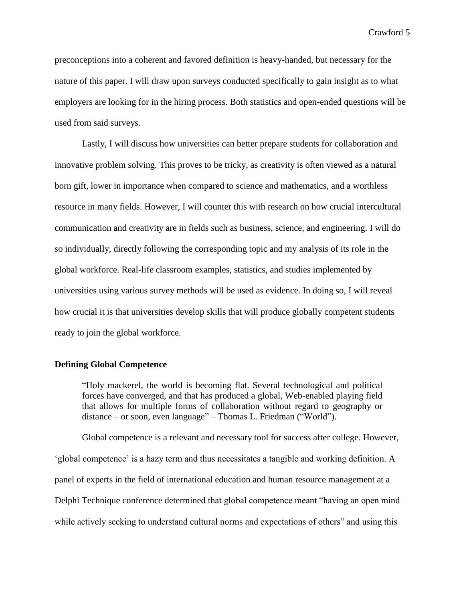preconceptions into a coherent and favored definition is heavy-handed, but necessary for the nature of this paper. I will draw upon surveys conducted specifically to gain insight as to what employers are looking for in the hiring process. Both statistics and open-ended questions will be used from said surveys.

Lastly, I will discuss how universities can better prepare students for collaboration and innovative problem solving. This proves to be tricky, as creativity is often viewed as a natural born gift, lower in importance when compared to science and mathematics, and a worthless resource in many fields. However, I will counter this with research on how crucial intercultural communication and creativity are in fields such as business, science, and engineering. I will do so individually, directly following the corresponding topic and my analysis of its role in the global workforce. Real-life classroom examples, statistics, and studies implemented by universities using various survey methods will be used as evidence. In doing so, I will reveal how crucial it is that universities develop skills that will produce globally competent students ready to join the global workforce.

## **Defining Global Competence**

"Holy mackerel, the world is becoming flat. Several technological and political forces have converged, and that has produced a global, Web-enabled playing field that allows for multiple forms of collaboration without regard to geography or distance – or soon, even language" – Thomas L. Friedman ("World").

Global competence is a relevant and necessary tool for success after college. However, 'global competence' is a hazy term and thus necessitates a tangible and working definition. A panel of experts in the field of international education and human resource management at a Delphi Technique conference determined that global competence meant "having an open mind while actively seeking to understand cultural norms and expectations of others" and using this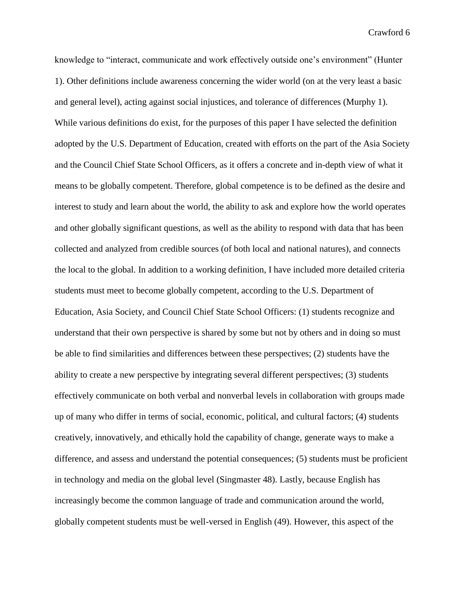knowledge to "interact, communicate and work effectively outside one's environment" (Hunter 1). Other definitions include awareness concerning the wider world (on at the very least a basic and general level), acting against social injustices, and tolerance of differences (Murphy 1). While various definitions do exist, for the purposes of this paper I have selected the definition adopted by the U.S. Department of Education, created with efforts on the part of the Asia Society and the Council Chief State School Officers, as it offers a concrete and in-depth view of what it means to be globally competent. Therefore, global competence is to be defined as the desire and interest to study and learn about the world, the ability to ask and explore how the world operates and other globally significant questions, as well as the ability to respond with data that has been collected and analyzed from credible sources (of both local and national natures), and connects the local to the global. In addition to a working definition, I have included more detailed criteria students must meet to become globally competent, according to the U.S. Department of Education, Asia Society, and Council Chief State School Officers: (1) students recognize and understand that their own perspective is shared by some but not by others and in doing so must be able to find similarities and differences between these perspectives; (2) students have the ability to create a new perspective by integrating several different perspectives; (3) students effectively communicate on both verbal and nonverbal levels in collaboration with groups made up of many who differ in terms of social, economic, political, and cultural factors; (4) students creatively, innovatively, and ethically hold the capability of change, generate ways to make a difference, and assess and understand the potential consequences; (5) students must be proficient in technology and media on the global level (Singmaster 48). Lastly, because English has increasingly become the common language of trade and communication around the world, globally competent students must be well-versed in English (49). However, this aspect of the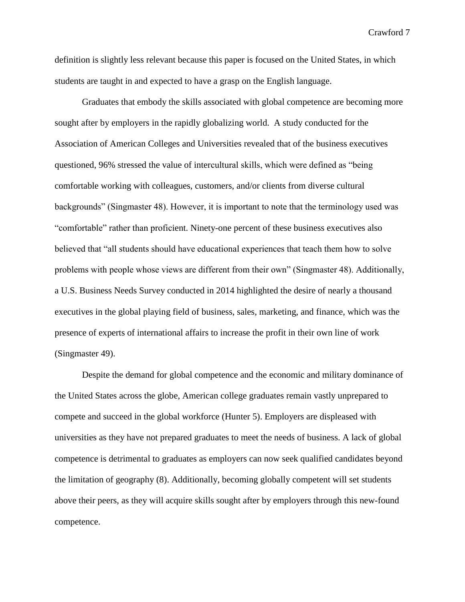definition is slightly less relevant because this paper is focused on the United States, in which students are taught in and expected to have a grasp on the English language.

Graduates that embody the skills associated with global competence are becoming more sought after by employers in the rapidly globalizing world. A study conducted for the Association of American Colleges and Universities revealed that of the business executives questioned, 96% stressed the value of intercultural skills, which were defined as "being comfortable working with colleagues, customers, and/or clients from diverse cultural backgrounds" (Singmaster 48). However, it is important to note that the terminology used was "comfortable" rather than proficient. Ninety-one percent of these business executives also believed that "all students should have educational experiences that teach them how to solve problems with people whose views are different from their own" (Singmaster 48). Additionally, a U.S. Business Needs Survey conducted in 2014 highlighted the desire of nearly a thousand executives in the global playing field of business, sales, marketing, and finance, which was the presence of experts of international affairs to increase the profit in their own line of work (Singmaster 49).

Despite the demand for global competence and the economic and military dominance of the United States across the globe, American college graduates remain vastly unprepared to compete and succeed in the global workforce (Hunter 5). Employers are displeased with universities as they have not prepared graduates to meet the needs of business. A lack of global competence is detrimental to graduates as employers can now seek qualified candidates beyond the limitation of geography (8). Additionally, becoming globally competent will set students above their peers, as they will acquire skills sought after by employers through this new-found competence.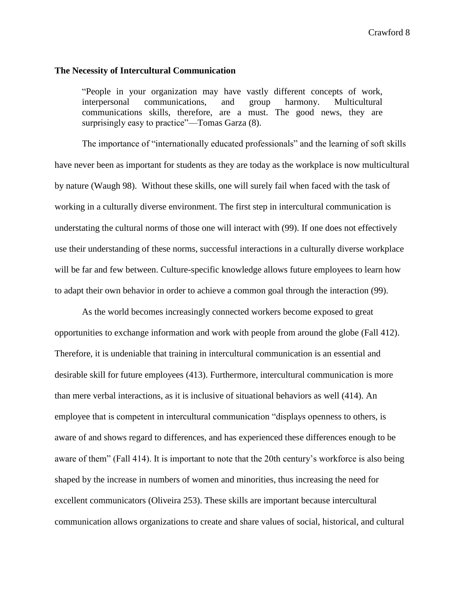#### **The Necessity of Intercultural Communication**

"People in your organization may have vastly different concepts of work, interpersonal communications, and group harmony. Multicultural communications skills, therefore, are a must. The good news, they are surprisingly easy to practice"—Tomas Garza  $(8)$ .

The importance of "internationally educated professionals" and the learning of soft skills have never been as important for students as they are today as the workplace is now multicultural by nature (Waugh 98). Without these skills, one will surely fail when faced with the task of working in a culturally diverse environment. The first step in intercultural communication is understating the cultural norms of those one will interact with (99). If one does not effectively use their understanding of these norms, successful interactions in a culturally diverse workplace will be far and few between. Culture-specific knowledge allows future employees to learn how to adapt their own behavior in order to achieve a common goal through the interaction (99).

As the world becomes increasingly connected workers become exposed to great opportunities to exchange information and work with people from around the globe (Fall 412). Therefore, it is undeniable that training in intercultural communication is an essential and desirable skill for future employees (413). Furthermore, intercultural communication is more than mere verbal interactions, as it is inclusive of situational behaviors as well (414). An employee that is competent in intercultural communication "displays openness to others, is aware of and shows regard to differences, and has experienced these differences enough to be aware of them" (Fall 414). It is important to note that the 20th century's workforce is also being shaped by the increase in numbers of women and minorities, thus increasing the need for excellent communicators (Oliveira 253). These skills are important because intercultural communication allows organizations to create and share values of social, historical, and cultural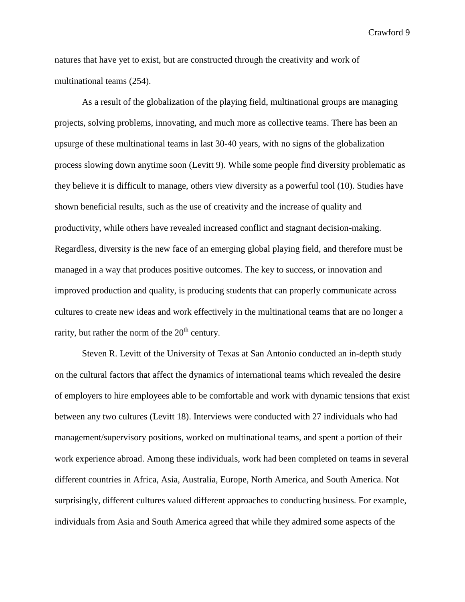natures that have yet to exist, but are constructed through the creativity and work of multinational teams (254).

As a result of the globalization of the playing field, multinational groups are managing projects, solving problems, innovating, and much more as collective teams. There has been an upsurge of these multinational teams in last 30-40 years, with no signs of the globalization process slowing down anytime soon (Levitt 9). While some people find diversity problematic as they believe it is difficult to manage, others view diversity as a powerful tool (10). Studies have shown beneficial results, such as the use of creativity and the increase of quality and productivity, while others have revealed increased conflict and stagnant decision-making. Regardless, diversity is the new face of an emerging global playing field, and therefore must be managed in a way that produces positive outcomes. The key to success, or innovation and improved production and quality, is producing students that can properly communicate across cultures to create new ideas and work effectively in the multinational teams that are no longer a rarity, but rather the norm of the  $20<sup>th</sup>$  century.

Steven R. Levitt of the University of Texas at San Antonio conducted an in-depth study on the cultural factors that affect the dynamics of international teams which revealed the desire of employers to hire employees able to be comfortable and work with dynamic tensions that exist between any two cultures (Levitt 18). Interviews were conducted with 27 individuals who had management/supervisory positions, worked on multinational teams, and spent a portion of their work experience abroad. Among these individuals, work had been completed on teams in several different countries in Africa, Asia, Australia, Europe, North America, and South America. Not surprisingly, different cultures valued different approaches to conducting business. For example, individuals from Asia and South America agreed that while they admired some aspects of the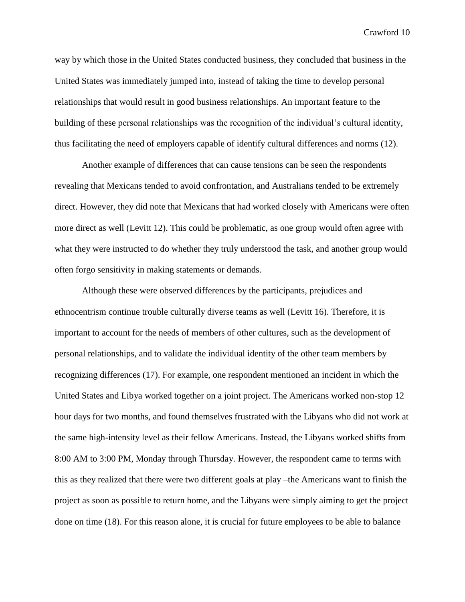way by which those in the United States conducted business, they concluded that business in the United States was immediately jumped into, instead of taking the time to develop personal relationships that would result in good business relationships. An important feature to the building of these personal relationships was the recognition of the individual's cultural identity, thus facilitating the need of employers capable of identify cultural differences and norms (12).

Another example of differences that can cause tensions can be seen the respondents revealing that Mexicans tended to avoid confrontation, and Australians tended to be extremely direct. However, they did note that Mexicans that had worked closely with Americans were often more direct as well (Levitt 12). This could be problematic, as one group would often agree with what they were instructed to do whether they truly understood the task, and another group would often forgo sensitivity in making statements or demands.

Although these were observed differences by the participants, prejudices and ethnocentrism continue trouble culturally diverse teams as well (Levitt 16). Therefore, it is important to account for the needs of members of other cultures, such as the development of personal relationships, and to validate the individual identity of the other team members by recognizing differences (17). For example, one respondent mentioned an incident in which the United States and Libya worked together on a joint project. The Americans worked non-stop 12 hour days for two months, and found themselves frustrated with the Libyans who did not work at the same high-intensity level as their fellow Americans. Instead, the Libyans worked shifts from 8:00 AM to 3:00 PM, Monday through Thursday. However, the respondent came to terms with this as they realized that there were two different goals at play –the Americans want to finish the project as soon as possible to return home, and the Libyans were simply aiming to get the project done on time (18). For this reason alone, it is crucial for future employees to be able to balance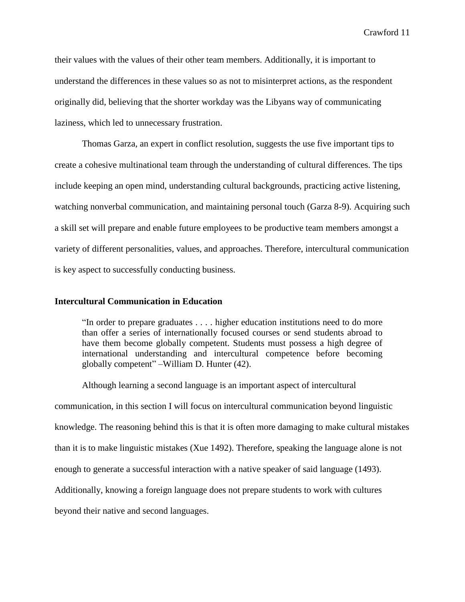their values with the values of their other team members. Additionally, it is important to understand the differences in these values so as not to misinterpret actions, as the respondent originally did, believing that the shorter workday was the Libyans way of communicating laziness, which led to unnecessary frustration.

Thomas Garza, an expert in conflict resolution, suggests the use five important tips to create a cohesive multinational team through the understanding of cultural differences. The tips include keeping an open mind, understanding cultural backgrounds, practicing active listening, watching nonverbal communication, and maintaining personal touch (Garza 8-9). Acquiring such a skill set will prepare and enable future employees to be productive team members amongst a variety of different personalities, values, and approaches. Therefore, intercultural communication is key aspect to successfully conducting business.

## **Intercultural Communication in Education**

"In order to prepare graduates . . . . higher education institutions need to do more than offer a series of internationally focused courses or send students abroad to have them become globally competent. Students must possess a high degree of international understanding and intercultural competence before becoming globally competent" –William D. Hunter (42).

Although learning a second language is an important aspect of intercultural communication, in this section I will focus on intercultural communication beyond linguistic knowledge. The reasoning behind this is that it is often more damaging to make cultural mistakes than it is to make linguistic mistakes (Xue 1492). Therefore, speaking the language alone is not enough to generate a successful interaction with a native speaker of said language (1493). Additionally, knowing a foreign language does not prepare students to work with cultures beyond their native and second languages.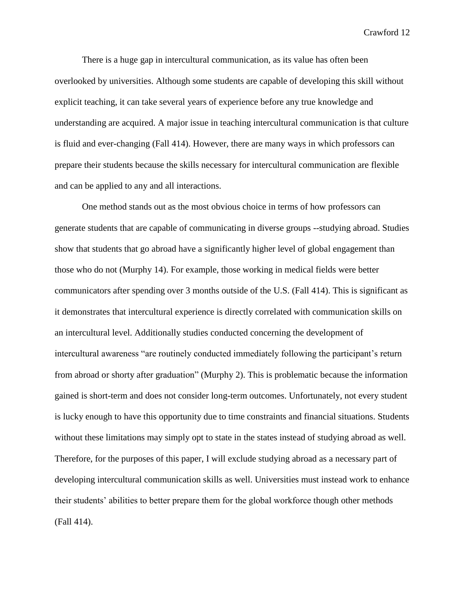There is a huge gap in intercultural communication, as its value has often been overlooked by universities. Although some students are capable of developing this skill without explicit teaching, it can take several years of experience before any true knowledge and understanding are acquired. A major issue in teaching intercultural communication is that culture is fluid and ever-changing (Fall 414). However, there are many ways in which professors can prepare their students because the skills necessary for intercultural communication are flexible and can be applied to any and all interactions.

One method stands out as the most obvious choice in terms of how professors can generate students that are capable of communicating in diverse groups --studying abroad. Studies show that students that go abroad have a significantly higher level of global engagement than those who do not (Murphy 14). For example, those working in medical fields were better communicators after spending over 3 months outside of the U.S. (Fall 414). This is significant as it demonstrates that intercultural experience is directly correlated with communication skills on an intercultural level. Additionally studies conducted concerning the development of intercultural awareness "are routinely conducted immediately following the participant's return from abroad or shorty after graduation" (Murphy 2). This is problematic because the information gained is short-term and does not consider long-term outcomes. Unfortunately, not every student is lucky enough to have this opportunity due to time constraints and financial situations. Students without these limitations may simply opt to state in the states instead of studying abroad as well. Therefore, for the purposes of this paper, I will exclude studying abroad as a necessary part of developing intercultural communication skills as well. Universities must instead work to enhance their students' abilities to better prepare them for the global workforce though other methods (Fall 414).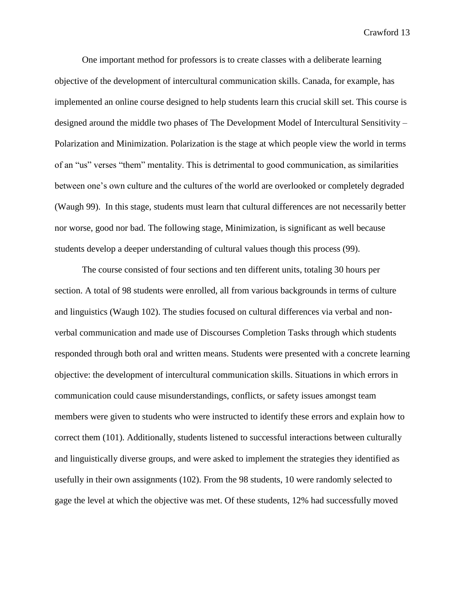One important method for professors is to create classes with a deliberate learning objective of the development of intercultural communication skills. Canada, for example, has implemented an online course designed to help students learn this crucial skill set. This course is designed around the middle two phases of The Development Model of Intercultural Sensitivity – Polarization and Minimization. Polarization is the stage at which people view the world in terms of an "us" verses "them" mentality. This is detrimental to good communication, as similarities between one's own culture and the cultures of the world are overlooked or completely degraded (Waugh 99). In this stage, students must learn that cultural differences are not necessarily better nor worse, good nor bad. The following stage, Minimization, is significant as well because students develop a deeper understanding of cultural values though this process (99).

The course consisted of four sections and ten different units, totaling 30 hours per section. A total of 98 students were enrolled, all from various backgrounds in terms of culture and linguistics (Waugh 102). The studies focused on cultural differences via verbal and nonverbal communication and made use of Discourses Completion Tasks through which students responded through both oral and written means. Students were presented with a concrete learning objective: the development of intercultural communication skills. Situations in which errors in communication could cause misunderstandings, conflicts, or safety issues amongst team members were given to students who were instructed to identify these errors and explain how to correct them (101). Additionally, students listened to successful interactions between culturally and linguistically diverse groups, and were asked to implement the strategies they identified as usefully in their own assignments (102). From the 98 students, 10 were randomly selected to gage the level at which the objective was met. Of these students, 12% had successfully moved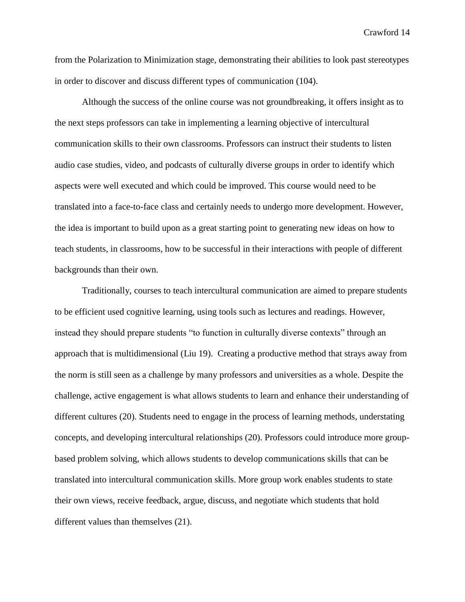from the Polarization to Minimization stage, demonstrating their abilities to look past stereotypes in order to discover and discuss different types of communication (104).

Although the success of the online course was not groundbreaking, it offers insight as to the next steps professors can take in implementing a learning objective of intercultural communication skills to their own classrooms. Professors can instruct their students to listen audio case studies, video, and podcasts of culturally diverse groups in order to identify which aspects were well executed and which could be improved. This course would need to be translated into a face-to-face class and certainly needs to undergo more development. However, the idea is important to build upon as a great starting point to generating new ideas on how to teach students, in classrooms, how to be successful in their interactions with people of different backgrounds than their own.

Traditionally, courses to teach intercultural communication are aimed to prepare students to be efficient used cognitive learning, using tools such as lectures and readings. However, instead they should prepare students "to function in culturally diverse contexts" through an approach that is multidimensional (Liu 19). Creating a productive method that strays away from the norm is still seen as a challenge by many professors and universities as a whole. Despite the challenge, active engagement is what allows students to learn and enhance their understanding of different cultures (20). Students need to engage in the process of learning methods, understating concepts, and developing intercultural relationships (20). Professors could introduce more groupbased problem solving, which allows students to develop communications skills that can be translated into intercultural communication skills. More group work enables students to state their own views, receive feedback, argue, discuss, and negotiate which students that hold different values than themselves (21).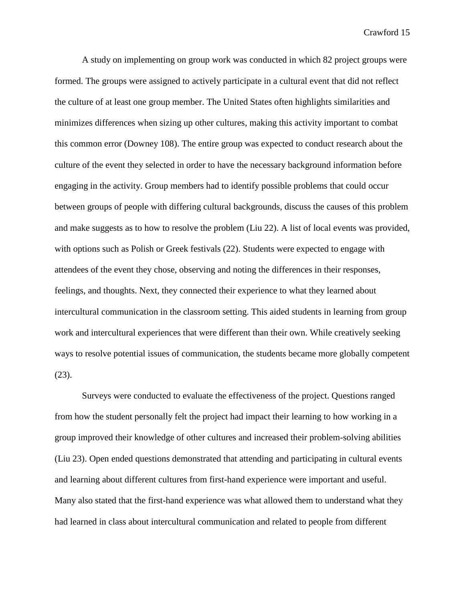A study on implementing on group work was conducted in which 82 project groups were formed. The groups were assigned to actively participate in a cultural event that did not reflect the culture of at least one group member. The United States often highlights similarities and minimizes differences when sizing up other cultures, making this activity important to combat this common error (Downey 108). The entire group was expected to conduct research about the culture of the event they selected in order to have the necessary background information before engaging in the activity. Group members had to identify possible problems that could occur between groups of people with differing cultural backgrounds, discuss the causes of this problem and make suggests as to how to resolve the problem (Liu 22). A list of local events was provided, with options such as Polish or Greek festivals (22). Students were expected to engage with attendees of the event they chose, observing and noting the differences in their responses, feelings, and thoughts. Next, they connected their experience to what they learned about intercultural communication in the classroom setting. This aided students in learning from group work and intercultural experiences that were different than their own. While creatively seeking ways to resolve potential issues of communication, the students became more globally competent (23).

Surveys were conducted to evaluate the effectiveness of the project. Questions ranged from how the student personally felt the project had impact their learning to how working in a group improved their knowledge of other cultures and increased their problem-solving abilities (Liu 23). Open ended questions demonstrated that attending and participating in cultural events and learning about different cultures from first-hand experience were important and useful. Many also stated that the first-hand experience was what allowed them to understand what they had learned in class about intercultural communication and related to people from different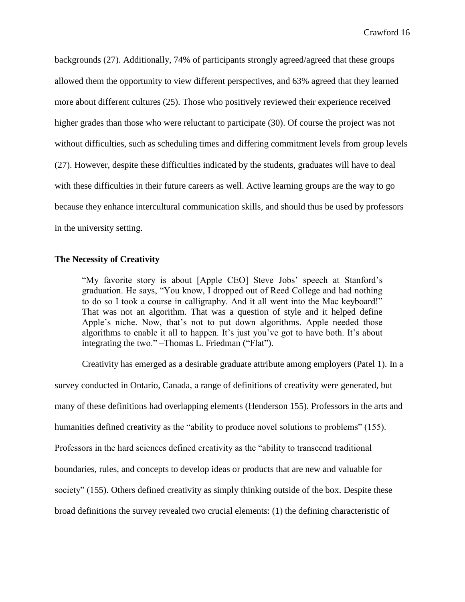backgrounds (27). Additionally, 74% of participants strongly agreed/agreed that these groups allowed them the opportunity to view different perspectives, and 63% agreed that they learned more about different cultures (25). Those who positively reviewed their experience received higher grades than those who were reluctant to participate (30). Of course the project was not without difficulties, such as scheduling times and differing commitment levels from group levels (27). However, despite these difficulties indicated by the students, graduates will have to deal with these difficulties in their future careers as well. Active learning groups are the way to go because they enhance intercultural communication skills, and should thus be used by professors in the university setting.

## **The Necessity of Creativity**

"My favorite story is about [Apple CEO] Steve Jobs' speech at Stanford's graduation. He says, "You know, I dropped out of Reed College and had nothing to do so I took a course in calligraphy. And it all went into the Mac keyboard!" That was not an algorithm. That was a question of style and it helped define Apple's niche. Now, that's not to put down algorithms. Apple needed those algorithms to enable it all to happen. It's just you've got to have both. It's about integrating the two." –Thomas L. Friedman ("Flat").

Creativity has emerged as a desirable graduate attribute among employers (Patel 1). In a survey conducted in Ontario, Canada, a range of definitions of creativity were generated, but many of these definitions had overlapping elements (Henderson 155). Professors in the arts and humanities defined creativity as the "ability to produce novel solutions to problems" (155). Professors in the hard sciences defined creativity as the "ability to transcend traditional boundaries, rules, and concepts to develop ideas or products that are new and valuable for society" (155). Others defined creativity as simply thinking outside of the box. Despite these broad definitions the survey revealed two crucial elements: (1) the defining characteristic of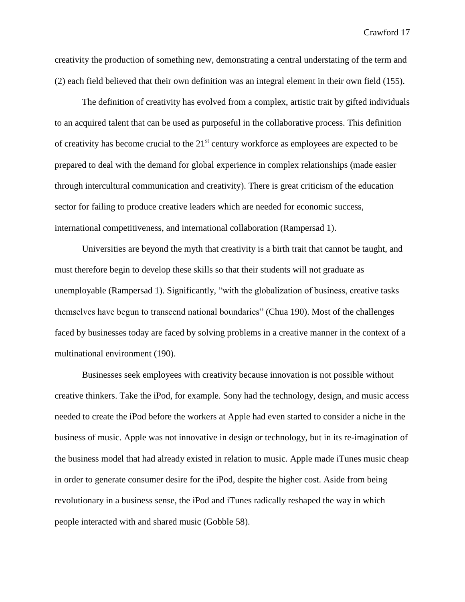creativity the production of something new, demonstrating a central understating of the term and (2) each field believed that their own definition was an integral element in their own field (155).

The definition of creativity has evolved from a complex, artistic trait by gifted individuals to an acquired talent that can be used as purposeful in the collaborative process. This definition of creativity has become crucial to the  $21<sup>st</sup>$  century workforce as employees are expected to be prepared to deal with the demand for global experience in complex relationships (made easier through intercultural communication and creativity). There is great criticism of the education sector for failing to produce creative leaders which are needed for economic success, international competitiveness, and international collaboration (Rampersad 1).

Universities are beyond the myth that creativity is a birth trait that cannot be taught, and must therefore begin to develop these skills so that their students will not graduate as unemployable (Rampersad 1). Significantly, "with the globalization of business, creative tasks themselves have begun to transcend national boundaries" (Chua 190). Most of the challenges faced by businesses today are faced by solving problems in a creative manner in the context of a multinational environment (190).

Businesses seek employees with creativity because innovation is not possible without creative thinkers. Take the iPod, for example. Sony had the technology, design, and music access needed to create the iPod before the workers at Apple had even started to consider a niche in the business of music. Apple was not innovative in design or technology, but in its re-imagination of the business model that had already existed in relation to music. Apple made iTunes music cheap in order to generate consumer desire for the iPod, despite the higher cost. Aside from being revolutionary in a business sense, the iPod and iTunes radically reshaped the way in which people interacted with and shared music (Gobble 58).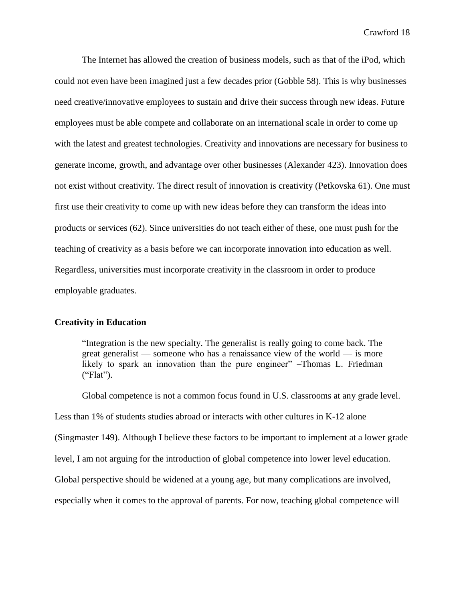The Internet has allowed the creation of business models, such as that of the iPod, which could not even have been imagined just a few decades prior (Gobble 58). This is why businesses need creative/innovative employees to sustain and drive their success through new ideas. Future employees must be able compete and collaborate on an international scale in order to come up with the latest and greatest technologies. Creativity and innovations are necessary for business to generate income, growth, and advantage over other businesses (Alexander 423). Innovation does not exist without creativity. The direct result of innovation is creativity (Petkovska 61). One must first use their creativity to come up with new ideas before they can transform the ideas into products or services (62). Since universities do not teach either of these, one must push for the teaching of creativity as a basis before we can incorporate innovation into education as well. Regardless, universities must incorporate creativity in the classroom in order to produce employable graduates.

#### **Creativity in Education**

"Integration is the new specialty. The generalist is really going to come back. The great generalist — someone who has a renaissance view of the world — is more likely to spark an innovation than the pure engineer" –Thomas L. Friedman  $("Flat").$ 

Global competence is not a common focus found in U.S. classrooms at any grade level.

Less than 1% of students studies abroad or interacts with other cultures in K-12 alone

(Singmaster 149). Although I believe these factors to be important to implement at a lower grade

level, I am not arguing for the introduction of global competence into lower level education.

Global perspective should be widened at a young age, but many complications are involved,

especially when it comes to the approval of parents. For now, teaching global competence will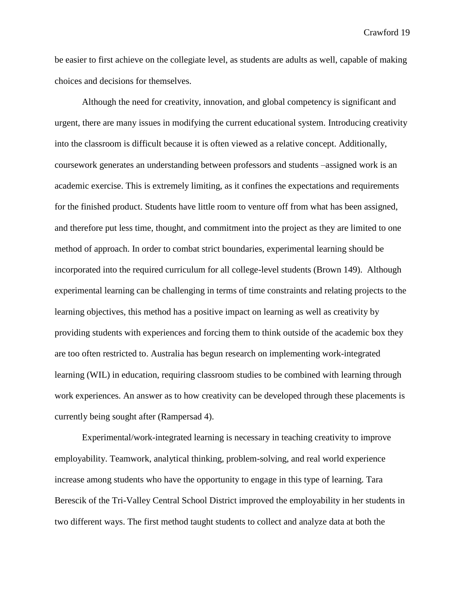be easier to first achieve on the collegiate level, as students are adults as well, capable of making choices and decisions for themselves.

Although the need for creativity, innovation, and global competency is significant and urgent, there are many issues in modifying the current educational system. Introducing creativity into the classroom is difficult because it is often viewed as a relative concept. Additionally, coursework generates an understanding between professors and students –assigned work is an academic exercise. This is extremely limiting, as it confines the expectations and requirements for the finished product. Students have little room to venture off from what has been assigned, and therefore put less time, thought, and commitment into the project as they are limited to one method of approach. In order to combat strict boundaries, experimental learning should be incorporated into the required curriculum for all college-level students (Brown 149). Although experimental learning can be challenging in terms of time constraints and relating projects to the learning objectives, this method has a positive impact on learning as well as creativity by providing students with experiences and forcing them to think outside of the academic box they are too often restricted to. Australia has begun research on implementing work-integrated learning (WIL) in education, requiring classroom studies to be combined with learning through work experiences. An answer as to how creativity can be developed through these placements is currently being sought after (Rampersad 4).

Experimental/work-integrated learning is necessary in teaching creativity to improve employability. Teamwork, analytical thinking, problem-solving, and real world experience increase among students who have the opportunity to engage in this type of learning. Tara Berescik of the Tri-Valley Central School District improved the employability in her students in two different ways. The first method taught students to collect and analyze data at both the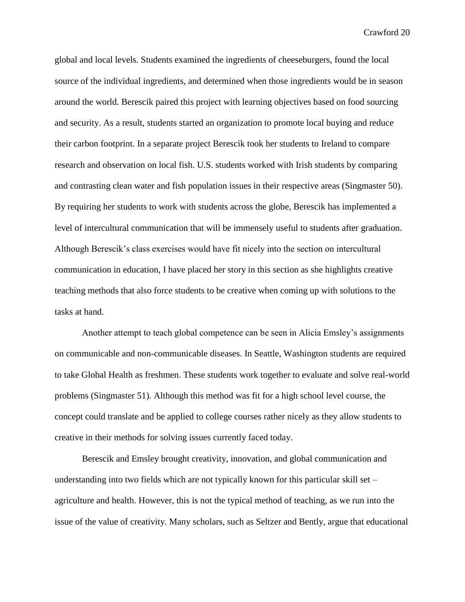global and local levels. Students examined the ingredients of cheeseburgers, found the local source of the individual ingredients, and determined when those ingredients would be in season around the world. Berescik paired this project with learning objectives based on food sourcing and security. As a result, students started an organization to promote local buying and reduce their carbon footprint. In a separate project Berescik took her students to Ireland to compare research and observation on local fish. U.S. students worked with Irish students by comparing and contrasting clean water and fish population issues in their respective areas (Singmaster 50). By requiring her students to work with students across the globe, Berescik has implemented a level of intercultural communication that will be immensely useful to students after graduation. Although Berescik's class exercises would have fit nicely into the section on intercultural communication in education, I have placed her story in this section as she highlights creative teaching methods that also force students to be creative when coming up with solutions to the tasks at hand.

Another attempt to teach global competence can be seen in Alicia Emsley's assignments on communicable and non-communicable diseases. In Seattle, Washington students are required to take Global Health as freshmen. These students work together to evaluate and solve real-world problems (Singmaster 51). Although this method was fit for a high school level course, the concept could translate and be applied to college courses rather nicely as they allow students to creative in their methods for solving issues currently faced today.

Berescik and Emsley brought creativity, innovation, and global communication and understanding into two fields which are not typically known for this particular skill set – agriculture and health. However, this is not the typical method of teaching, as we run into the issue of the value of creativity. Many scholars, such as Seltzer and Bently, argue that educational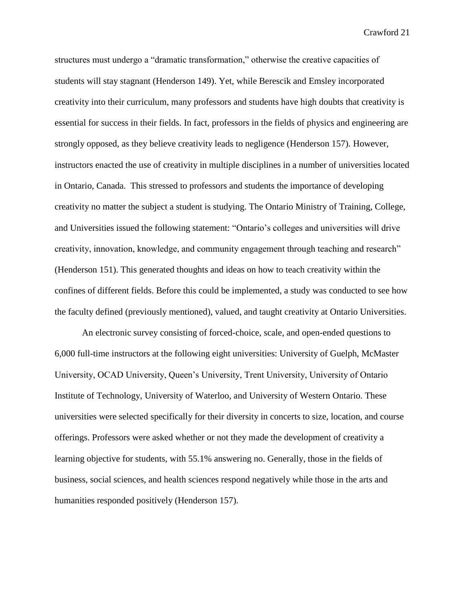structures must undergo a "dramatic transformation," otherwise the creative capacities of students will stay stagnant (Henderson 149). Yet, while Berescik and Emsley incorporated creativity into their curriculum, many professors and students have high doubts that creativity is essential for success in their fields. In fact, professors in the fields of physics and engineering are strongly opposed, as they believe creativity leads to negligence (Henderson 157). However, instructors enacted the use of creativity in multiple disciplines in a number of universities located in Ontario, Canada. This stressed to professors and students the importance of developing creativity no matter the subject a student is studying. The Ontario Ministry of Training, College, and Universities issued the following statement: "Ontario's colleges and universities will drive creativity, innovation, knowledge, and community engagement through teaching and research" (Henderson 151). This generated thoughts and ideas on how to teach creativity within the confines of different fields. Before this could be implemented, a study was conducted to see how the faculty defined (previously mentioned), valued, and taught creativity at Ontario Universities.

An electronic survey consisting of forced-choice, scale, and open-ended questions to 6,000 full-time instructors at the following eight universities: University of Guelph, McMaster University, OCAD University, Queen's University, Trent University, University of Ontario Institute of Technology, University of Waterloo, and University of Western Ontario. These universities were selected specifically for their diversity in concerts to size, location, and course offerings. Professors were asked whether or not they made the development of creativity a learning objective for students, with 55.1% answering no. Generally, those in the fields of business, social sciences, and health sciences respond negatively while those in the arts and humanities responded positively (Henderson 157).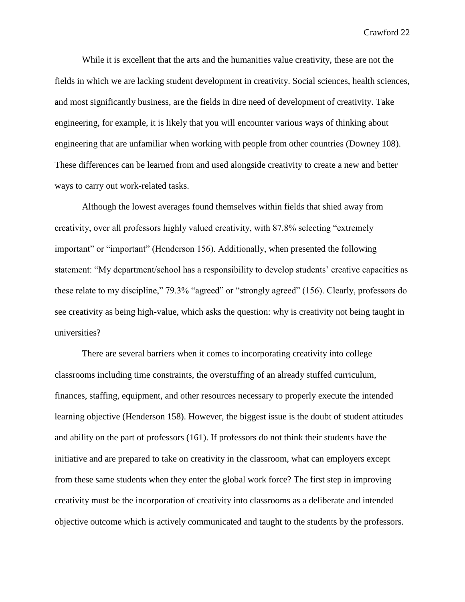While it is excellent that the arts and the humanities value creativity, these are not the fields in which we are lacking student development in creativity. Social sciences, health sciences, and most significantly business, are the fields in dire need of development of creativity. Take engineering, for example, it is likely that you will encounter various ways of thinking about engineering that are unfamiliar when working with people from other countries (Downey 108). These differences can be learned from and used alongside creativity to create a new and better ways to carry out work-related tasks.

Although the lowest averages found themselves within fields that shied away from creativity, over all professors highly valued creativity, with 87.8% selecting "extremely important" or "important" (Henderson 156). Additionally, when presented the following statement: "My department/school has a responsibility to develop students' creative capacities as these relate to my discipline," 79.3% "agreed" or "strongly agreed" (156). Clearly, professors do see creativity as being high-value, which asks the question: why is creativity not being taught in universities?

There are several barriers when it comes to incorporating creativity into college classrooms including time constraints, the overstuffing of an already stuffed curriculum, finances, staffing, equipment, and other resources necessary to properly execute the intended learning objective (Henderson 158). However, the biggest issue is the doubt of student attitudes and ability on the part of professors (161). If professors do not think their students have the initiative and are prepared to take on creativity in the classroom, what can employers except from these same students when they enter the global work force? The first step in improving creativity must be the incorporation of creativity into classrooms as a deliberate and intended objective outcome which is actively communicated and taught to the students by the professors.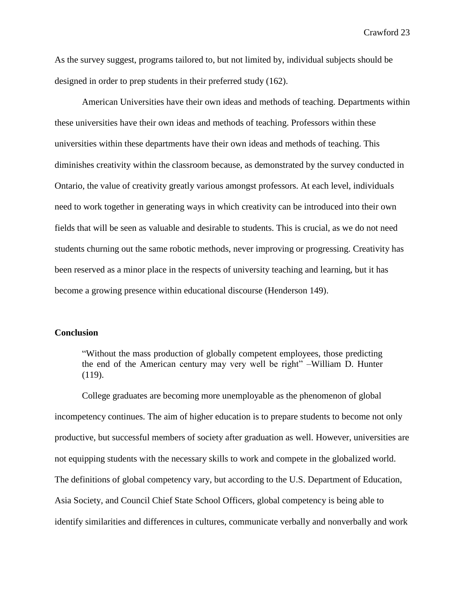As the survey suggest, programs tailored to, but not limited by, individual subjects should be designed in order to prep students in their preferred study (162).

American Universities have their own ideas and methods of teaching. Departments within these universities have their own ideas and methods of teaching. Professors within these universities within these departments have their own ideas and methods of teaching. This diminishes creativity within the classroom because, as demonstrated by the survey conducted in Ontario, the value of creativity greatly various amongst professors. At each level, individuals need to work together in generating ways in which creativity can be introduced into their own fields that will be seen as valuable and desirable to students. This is crucial, as we do not need students churning out the same robotic methods, never improving or progressing. Creativity has been reserved as a minor place in the respects of university teaching and learning, but it has become a growing presence within educational discourse (Henderson 149).

#### **Conclusion**

"Without the mass production of globally competent employees, those predicting the end of the American century may very well be right" –William D. Hunter (119).

College graduates are becoming more unemployable as the phenomenon of global incompetency continues. The aim of higher education is to prepare students to become not only productive, but successful members of society after graduation as well. However, universities are not equipping students with the necessary skills to work and compete in the globalized world. The definitions of global competency vary, but according to the U.S. Department of Education, Asia Society, and Council Chief State School Officers, global competency is being able to identify similarities and differences in cultures, communicate verbally and nonverbally and work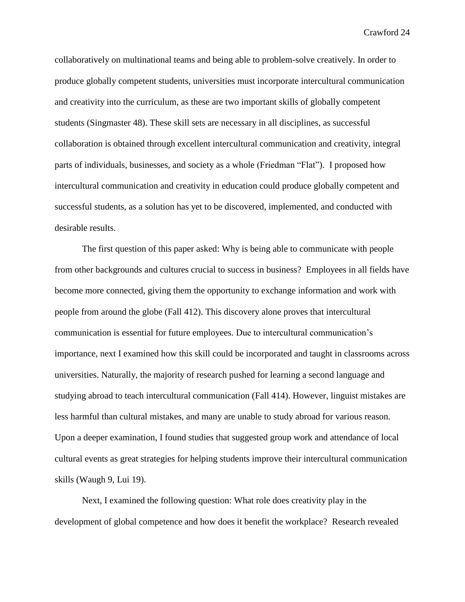collaboratively on multinational teams and being able to problem-solve creatively. In order to produce globally competent students, universities must incorporate intercultural communication and creativity into the curriculum, as these are two important skills of globally competent students (Singmaster 48). These skill sets are necessary in all disciplines, as successful collaboration is obtained through excellent intercultural communication and creativity, integral parts of individuals, businesses, and society as a whole (Friedman "Flat"). I proposed how intercultural communication and creativity in education could produce globally competent and successful students, as a solution has yet to be discovered, implemented, and conducted with desirable results.

The first question of this paper asked: Why is being able to communicate with people from other backgrounds and cultures crucial to success in business? Employees in all fields have become more connected, giving them the opportunity to exchange information and work with people from around the globe (Fall 412). This discovery alone proves that intercultural communication is essential for future employees. Due to intercultural communication's importance, next I examined how this skill could be incorporated and taught in classrooms across universities. Naturally, the majority of research pushed for learning a second language and studying abroad to teach intercultural communication (Fall 414). However, linguist mistakes are less harmful than cultural mistakes, and many are unable to study abroad for various reason. Upon a deeper examination, I found studies that suggested group work and attendance of local cultural events as great strategies for helping students improve their intercultural communication skills (Waugh 9, Lui 19).

Next, I examined the following question: What role does creativity play in the development of global competence and how does it benefit the workplace? Research revealed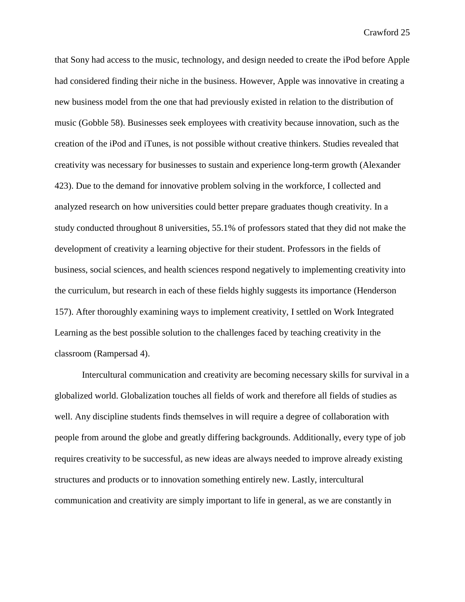that Sony had access to the music, technology, and design needed to create the iPod before Apple had considered finding their niche in the business. However, Apple was innovative in creating a new business model from the one that had previously existed in relation to the distribution of music (Gobble 58). Businesses seek employees with creativity because innovation, such as the creation of the iPod and iTunes, is not possible without creative thinkers. Studies revealed that creativity was necessary for businesses to sustain and experience long-term growth (Alexander 423). Due to the demand for innovative problem solving in the workforce, I collected and analyzed research on how universities could better prepare graduates though creativity. In a study conducted throughout 8 universities, 55.1% of professors stated that they did not make the development of creativity a learning objective for their student. Professors in the fields of business, social sciences, and health sciences respond negatively to implementing creativity into the curriculum, but research in each of these fields highly suggests its importance (Henderson 157). After thoroughly examining ways to implement creativity, I settled on Work Integrated Learning as the best possible solution to the challenges faced by teaching creativity in the classroom (Rampersad 4).

Intercultural communication and creativity are becoming necessary skills for survival in a globalized world. Globalization touches all fields of work and therefore all fields of studies as well. Any discipline students finds themselves in will require a degree of collaboration with people from around the globe and greatly differing backgrounds. Additionally, every type of job requires creativity to be successful, as new ideas are always needed to improve already existing structures and products or to innovation something entirely new. Lastly, intercultural communication and creativity are simply important to life in general, as we are constantly in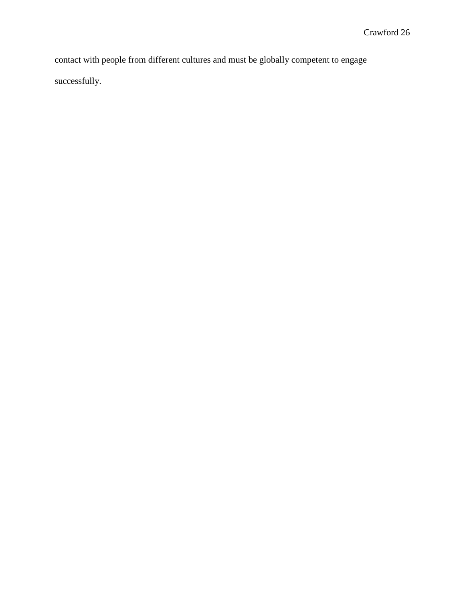contact with people from different cultures and must be globally competent to engage successfully.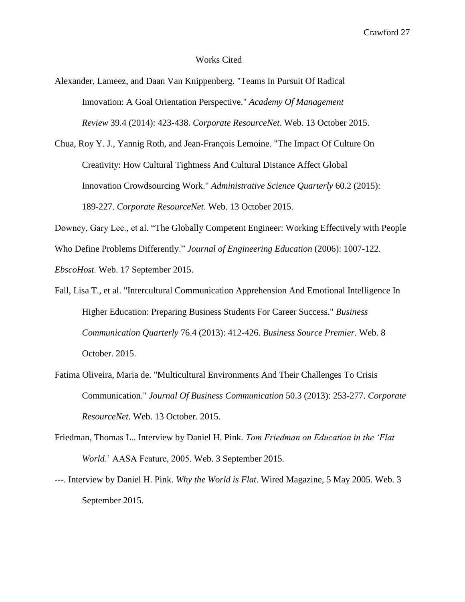#### Works Cited

Alexander, Lameez, and Daan Van Knippenberg. "Teams In Pursuit Of Radical Innovation: A Goal Orientation Perspective." *Academy Of Management Review* 39.4 (2014): 423-438. *Corporate ResourceNet*. Web. 13 October 2015.

Chua, Roy Y. J., Yannig Roth, and Jean-François Lemoine. "The Impact Of Culture On Creativity: How Cultural Tightness And Cultural Distance Affect Global Innovation Crowdsourcing Work." *Administrative Science Quarterly* 60.2 (2015): 189-227. *Corporate ResourceNet*. Web. 13 October 2015.

Downey, Gary Lee., et al. "The Globally Competent Engineer: Working Effectively with People

Who Define Problems Differently." *Journal of Engineering Education* (2006): 1007-122.

*EbscoHost.* Web. 17 September 2015.

- Fall, Lisa T., et al. "Intercultural Communication Apprehension And Emotional Intelligence In Higher Education: Preparing Business Students For Career Success." *Business Communication Quarterly* 76.4 (2013): 412-426. *Business Source Premier*. Web. 8 October. 2015.
- Fatima Oliveira, Maria de. "Multicultural Environments And Their Challenges To Crisis Communication." *Journal Of Business Communication* 50.3 (2013): 253-277. *Corporate ResourceNet*. Web. 13 October. 2015.
- Friedman, Thomas L.. Interview by Daniel H. Pink. *Tom Friedman on Education in the 'Flat World*.' AASA Feature, 2005. Web. 3 September 2015.
- ---. Interview by Daniel H. Pink. *Why the World is Flat*. Wired Magazine, 5 May 2005. Web. 3 September 2015.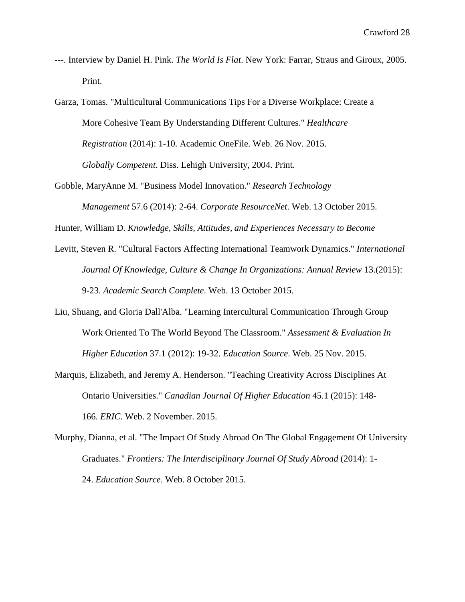- ---. Interview by Daniel H. Pink. *The World Is Flat*. New York: Farrar, Straus and Giroux, 2005. Print.
- Garza, Tomas. "Multicultural Communications Tips For a Diverse Workplace: Create a More Cohesive Team By Understanding Different Cultures." *Healthcare Registration* (2014): 1-10. Academic OneFile. Web. 26 Nov. 2015. *Globally Competent*. Diss. Lehigh University, 2004. Print.
- Gobble, MaryAnne M. "Business Model Innovation." *Research Technology Management* 57.6 (2014): 2-64. *Corporate ResourceNet*. Web. 13 October 2015.

Hunter, William D. *Knowledge, Skills, Attitudes, and Experiences Necessary to Become*

- Levitt, Steven R. "Cultural Factors Affecting International Teamwork Dynamics." *International Journal Of Knowledge, Culture & Change In Organizations: Annual Review* 13.(2015): 9-23. *Academic Search Complete*. Web. 13 October 2015.
- Liu, Shuang, and Gloria Dall'Alba. "Learning Intercultural Communication Through Group Work Oriented To The World Beyond The Classroom." *Assessment & Evaluation In Higher Education* 37.1 (2012): 19-32. *Education Source*. Web. 25 Nov. 2015.
- Marquis, Elizabeth, and Jeremy A. Henderson. "Teaching Creativity Across Disciplines At Ontario Universities." *Canadian Journal Of Higher Education* 45.1 (2015): 148- 166. *ERIC*. Web. 2 November. 2015.
- Murphy, Dianna, et al. "The Impact Of Study Abroad On The Global Engagement Of University Graduates." *Frontiers: The Interdisciplinary Journal Of Study Abroad* (2014): 1- 24. *Education Source*. Web. 8 October 2015.